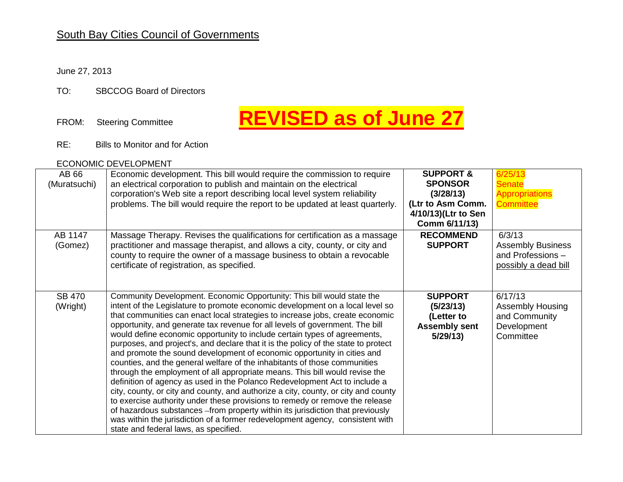## South Bay Cities Council of Governments

### June 27, 2013

TO: SBCCOG Board of Directors

# FROM: Steering Committee **REVISED as of June 27**

RE: Bills to Monitor and for Action

#### ECONOMIC DEVELOPMENT

| AB 66<br>(Muratsuchi)     | Economic development. This bill would require the commission to require<br>an electrical corporation to publish and maintain on the electrical<br>corporation's Web site a report describing local level system reliability<br>problems. The bill would require the report to be updated at least quarterly.                                                                                                                                                                                                                                                                                                                                                                                                                                                                                                                                                                                                                                                                                                                                                                                                                                                                                        | <b>SUPPORT &amp;</b><br><b>SPONSOR</b><br>(3/28/13)<br>(Ltr to Asm Comm.<br>4/10/13)(Ltr to Sen<br>Comm 6/11/13) | 6/25/13<br><b>Senate</b><br><b>Appropriations</b><br><b>Committee</b>           |
|---------------------------|-----------------------------------------------------------------------------------------------------------------------------------------------------------------------------------------------------------------------------------------------------------------------------------------------------------------------------------------------------------------------------------------------------------------------------------------------------------------------------------------------------------------------------------------------------------------------------------------------------------------------------------------------------------------------------------------------------------------------------------------------------------------------------------------------------------------------------------------------------------------------------------------------------------------------------------------------------------------------------------------------------------------------------------------------------------------------------------------------------------------------------------------------------------------------------------------------------|------------------------------------------------------------------------------------------------------------------|---------------------------------------------------------------------------------|
| AB 1147<br>(Gomez)        | Massage Therapy. Revises the qualifications for certification as a massage<br>practitioner and massage therapist, and allows a city, county, or city and<br>county to require the owner of a massage business to obtain a revocable<br>certificate of registration, as specified.                                                                                                                                                                                                                                                                                                                                                                                                                                                                                                                                                                                                                                                                                                                                                                                                                                                                                                                   | <b>RECOMMEND</b><br><b>SUPPORT</b>                                                                               | 6/3/13<br><b>Assembly Business</b><br>and Professions -<br>possibly a dead bill |
| <b>SB 470</b><br>(Wright) | Community Development. Economic Opportunity: This bill would state the<br>intent of the Legislature to promote economic development on a local level so<br>that communities can enact local strategies to increase jobs, create economic<br>opportunity, and generate tax revenue for all levels of government. The bill<br>would define economic opportunity to include certain types of agreements,<br>purposes, and project's, and declare that it is the policy of the state to protect<br>and promote the sound development of economic opportunity in cities and<br>counties, and the general welfare of the inhabitants of those communities<br>through the employment of all appropriate means. This bill would revise the<br>definition of agency as used in the Polanco Redevelopment Act to include a<br>city, county, or city and county, and authorize a city, county, or city and county<br>to exercise authority under these provisions to remedy or remove the release<br>of hazardous substances - from property within its jurisdiction that previously<br>was within the jurisdiction of a former redevelopment agency, consistent with<br>state and federal laws, as specified. | <b>SUPPORT</b><br>(5/23/13)<br>(Letter to<br><b>Assembly sent</b><br>5/29/13                                     | 6/17/13<br><b>Assembly Housing</b><br>and Community<br>Development<br>Committee |